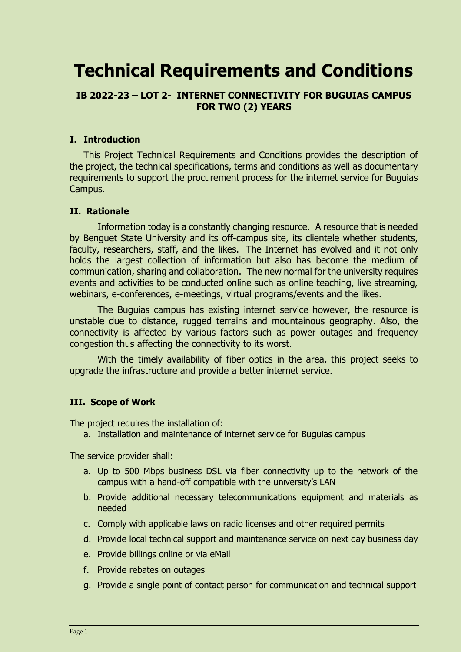# **Technical Requirements and Conditions**

# **IB 2022-23 – LOT 2- INTERNET CONNECTIVITY FOR BUGUIAS CAMPUS FOR TWO (2) YEARS**

#### **I. Introduction**

This Project Technical Requirements and Conditions provides the description of the project, the technical specifications, terms and conditions as well as documentary requirements to support the procurement process for the internet service for Buguias Campus.

### **II. Rationale**

Information today is a constantly changing resource. A resource that is needed by Benguet State University and its off-campus site, its clientele whether students, faculty, researchers, staff, and the likes. The Internet has evolved and it not only holds the largest collection of information but also has become the medium of communication, sharing and collaboration. The new normal for the university requires events and activities to be conducted online such as online teaching, live streaming, webinars, e-conferences, e-meetings, virtual programs/events and the likes.

The Buguias campus has existing internet service however, the resource is unstable due to distance, rugged terrains and mountainous geography. Also, the connectivity is affected by various factors such as power outages and frequency congestion thus affecting the connectivity to its worst.

With the timely availability of fiber optics in the area, this project seeks to upgrade the infrastructure and provide a better internet service.

# **III. Scope of Work**

The project requires the installation of:

a. Installation and maintenance of internet service for Buguias campus

The service provider shall:

- a. Up to 500 Mbps business DSL via fiber connectivity up to the network of the campus with a hand-off compatible with the university's LAN
- b. Provide additional necessary telecommunications equipment and materials as needed
- c. Comply with applicable laws on radio licenses and other required permits
- d. Provide local technical support and maintenance service on next day business day
- e. Provide billings online or via eMail
- f. Provide rebates on outages
- g. Provide a single point of contact person for communication and technical support